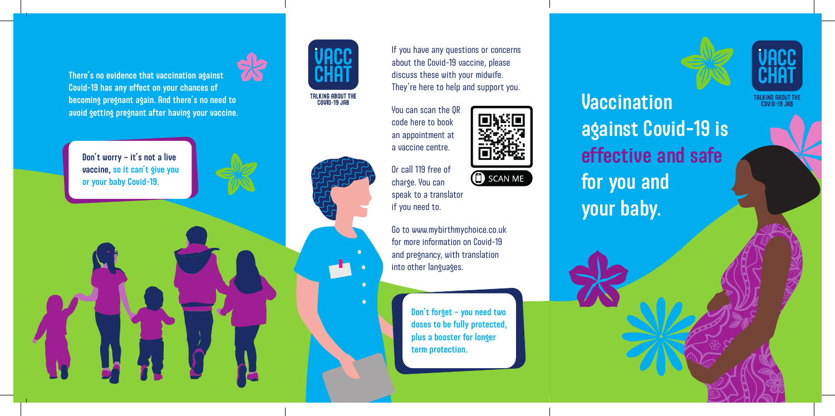There's no evidence that vaccination against Covid-19 has any effect on your chances of becoming pregnant again. And there's no need to avoid getting pregnant after having your vaccine.

Don't worry – it's not a live vaccine, so it can't give you or your baby Covid-19.



TALKING ABOUT THE<br>COVID-19 JAB



 $\bullet$ 

If you have any questions or concerns about the Covid-19 vaccine, please discuss these with your midwife. They're here to help and support you.

SCAN ME

You can scan the QR code here to book an appointment at a vaccine centre.

Or call 119 free of charge. You can speak to a translator if you need to.

Go to www.mybirthmychoice.co.uk for more information on Covid-19 and pregnancy, with translation into other languages.

> Don't forget – you need two doses to be fully protected, plus a booster for longer term protection.



TALK<mark>I</mark>NG ABOUT THE<br>COVID-19 JAB

**Vaccination** against Covid-19 is effective and safe for you and your baby.